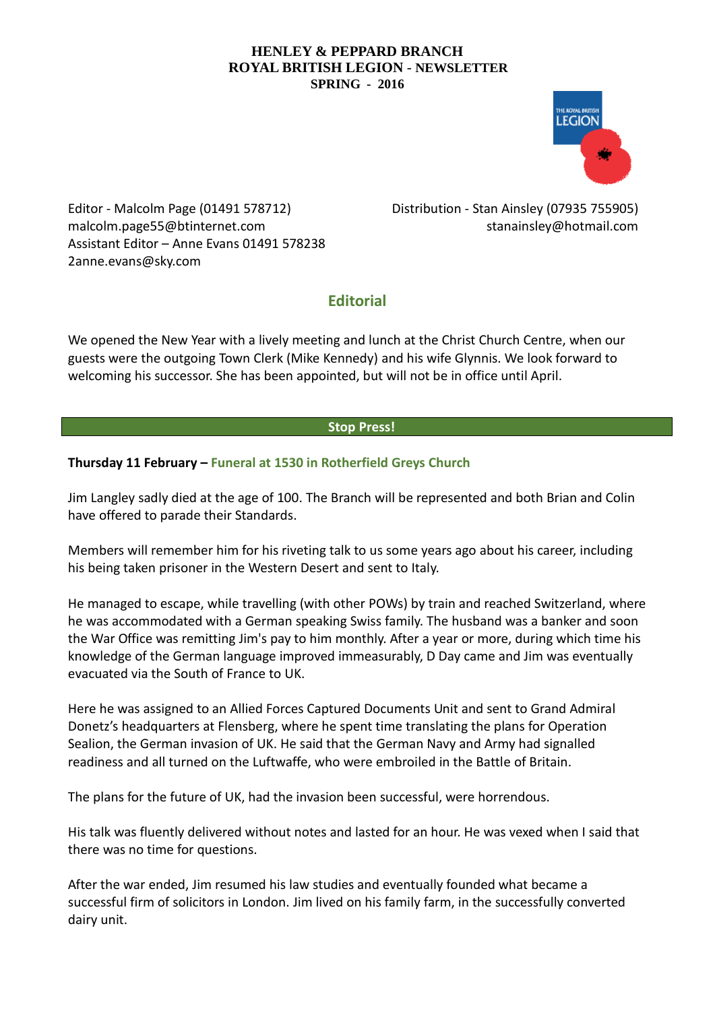

Editor - Malcolm Page (01491 578712) malcolm.page55@btinternet.com Assistant Editor – Anne Evans 01491 578238 2anne.evans@sky.com

Distribution - Stan Ainsley (07935 755905) [stanainsley@hotmail.com](mailto:stanainsley@hotmail.com)

# **Editorial**

We opened the New Year with a lively meeting and lunch at the Christ Church Centre, when our guests were the outgoing Town Clerk (Mike Kennedy) and his wife Glynnis. We look forward to welcoming his successor. She has been appointed, but will not be in office until April.

# **Stop Press!**

# **Thursday 11 February – Funeral at 1530 in Rotherfield Greys Church**

Jim Langley sadly died at the age of 100. The Branch will be represented and both Brian and Colin have offered to parade their Standards.

Members will remember him for his riveting talk to us some years ago about his career, including his being taken prisoner in the Western Desert and sent to Italy.

He managed to escape, while travelling (with other POWs) by train and reached Switzerland, where he was accommodated with a German speaking Swiss family. The husband was a banker and soon the War Office was remitting Jim's pay to him monthly. After a year or more, during which time his knowledge of the German language improved immeasurably, D Day came and Jim was eventually evacuated via the South of France to UK.

Here he was assigned to an Allied Forces Captured Documents Unit and sent to Grand Admiral Donetz's headquarters at Flensberg, where he spent time translating the plans for Operation Sealion, the German invasion of UK. He said that the German Navy and Army had signalled readiness and all turned on the Luftwaffe, who were embroiled in the Battle of Britain.

The plans for the future of UK, had the invasion been successful, were horrendous.

His talk was fluently delivered without notes and lasted for an hour. He was vexed when I said that there was no time for questions.

After the war ended, Jim resumed his law studies and eventually founded what became a successful firm of solicitors in London. Jim lived on his family farm, in the successfully converted dairy unit.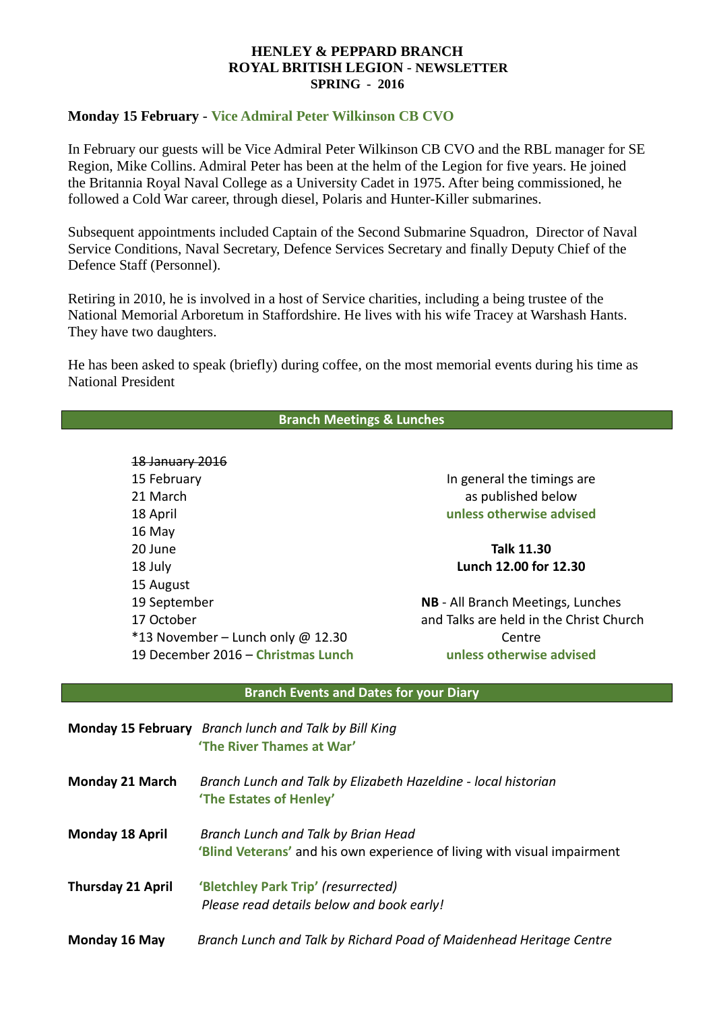# **Monday 15 February** - **Vice Admiral Peter Wilkinson CB CVO**

In February our guests will be Vice Admiral Peter Wilkinson CB CVO and the RBL manager for SE Region, Mike Collins. Admiral Peter has been at the helm of the Legion for five years. He joined the Britannia Royal Naval College as a University Cadet in 1975. After being commissioned, he followed a Cold War career, through diesel, Polaris and Hunter-Killer submarines.

Subsequent appointments included Captain of the Second Submarine Squadron, Director of Naval Service Conditions, Naval Secretary, Defence Services Secretary and finally Deputy Chief of the Defence Staff (Personnel).

Retiring in 2010, he is involved in a host of Service charities, including a being trustee of the National Memorial Arboretum in Staffordshire. He lives with his wife Tracey at Warshash Hants. They have two daughters.

He has been asked to speak (briefly) during coffee, on the most memorial events during his time as National President

## **Branch Meetings & Lunches**

18 January 2016 15 February 21 March 18 April 16 May 20 June 18 July 15 August 19 September 17 October  $*13$  November – Lunch only @ 12.30 19 December 2016 – **Christmas Lunch**

In general the timings are as published below **unless otherwise advised**

### **Talk 11.30 Lunch 12.00 for 12.30**

**NB** - All Branch Meetings, Lunches and Talks are held in the Christ Church Centre **unless otherwise advised**

#### **Branch Events and Dates for your Diary**

|                          | <b>Monday 15 February</b> Branch lunch and Talk by Bill King<br>'The River Thames at War'                       |
|--------------------------|-----------------------------------------------------------------------------------------------------------------|
| <b>Monday 21 March</b>   | Branch Lunch and Talk by Elizabeth Hazeldine - local historian<br>'The Estates of Henley'                       |
| <b>Monday 18 April</b>   | Branch Lunch and Talk by Brian Head<br>'Blind Veterans' and his own experience of living with visual impairment |
| <b>Thursday 21 April</b> | 'Bletchley Park Trip' (resurrected)<br>Please read details below and book early!                                |
| Monday 16 May            | Branch Lunch and Talk by Richard Poad of Maidenhead Heritage Centre                                             |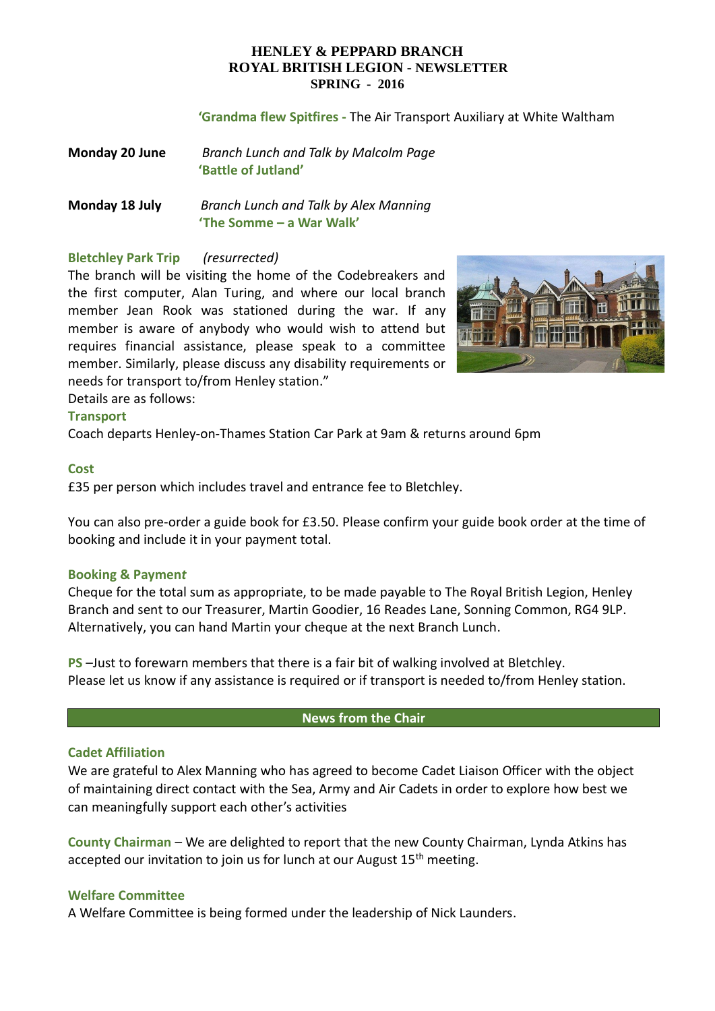#### **'Grandma flew Spitfires -** The Air Transport Auxiliary at White Waltham

| Monday 20 June | Branch Lunch and Talk by Malcolm Page |
|----------------|---------------------------------------|
|                | 'Battle of Jutland'                   |

**Monday 18 July** *Branch Lunch and Talk by Alex Manning* **'The Somme – a War Walk'**

### **Bletchley Park Trip** *(resurrected)*

The branch will be visiting the home of the Codebreakers and the first computer, Alan Turing, and where our local branch member Jean Rook was stationed during the war. If any member is aware of anybody who would wish to attend but requires financial assistance, please speak to a committee member. Similarly, please discuss any disability requirements or needs for transport to/from Henley station."



Details are as follows:

#### **Transport**

Coach departs Henley-on-Thames Station Car Park at 9am & returns around 6pm

#### **Cost**

£35 per person which includes travel and entrance fee to Bletchley.

You can also pre-order a guide book for £3.50. Please confirm your guide book order at the time of booking and include it in your payment total.

#### **Booking & Paymen***t*

Cheque for the total sum as appropriate, to be made payable to The Royal British Legion, Henley Branch and sent to our Treasurer, Martin Goodier, 16 Reades Lane, Sonning Common, RG4 9LP. Alternatively, you can hand Martin your cheque at the next Branch Lunch.

**PS** –Just to forewarn members that there is a fair bit of walking involved at Bletchley. Please let us know if any assistance is required or if transport is needed to/from Henley station.

#### **News from the Chair**

### **Cadet Affiliation**

We are grateful to Alex Manning who has agreed to become Cadet Liaison Officer with the object of maintaining direct contact with the Sea, Army and Air Cadets in order to explore how best we can meaningfully support each other's activities

**County Chairman** – We are delighted to report that the new County Chairman, Lynda Atkins has accepted our invitation to join us for lunch at our August  $15<sup>th</sup>$  meeting.

#### **Welfare Committee**

A Welfare Committee is being formed under the leadership of Nick Launders.